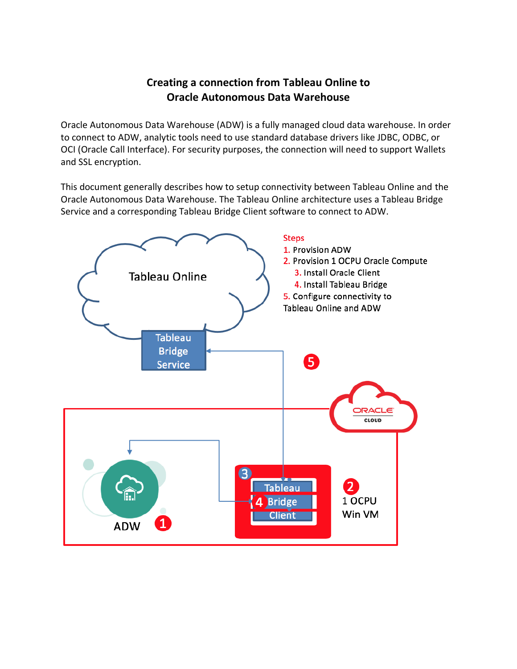# **Creating a connection from Tableau Online to Oracle Autonomous Data Warehouse**

Oracle Autonomous Data Warehouse (ADW) is a fully managed cloud data warehouse. In order to connect to ADW, analytic tools need to use standard database drivers like JDBC, ODBC, or OCI (Oracle Call Interface). For security purposes, the connection will need to support Wallets and SSL encryption.

This document generally describes how to setup connectivity between Tableau Online and the Oracle Autonomous Data Warehouse. The Tableau Online architecture uses a Tableau Bridge Service and a corresponding Tableau Bridge Client software to connect to ADW.

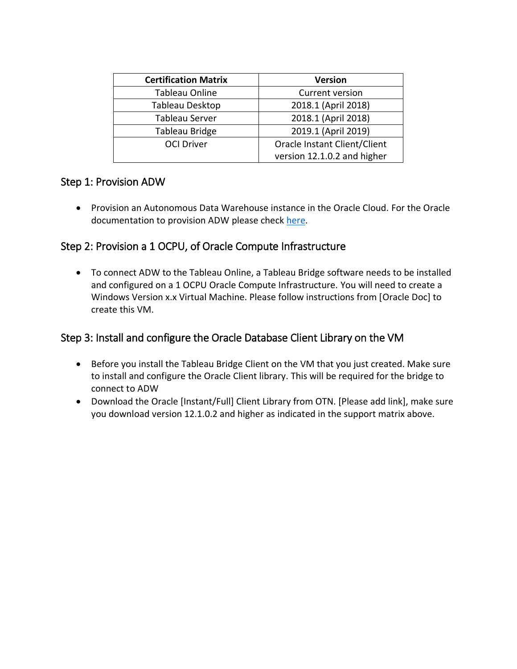| <b>Certification Matrix</b> | <b>Version</b>               |
|-----------------------------|------------------------------|
| Tableau Online              | Current version              |
| Tableau Desktop             | 2018.1 (April 2018)          |
| Tableau Server              | 2018.1 (April 2018)          |
| Tableau Bridge              | 2019.1 (April 2019)          |
| <b>OCI Driver</b>           | Oracle Instant Client/Client |
|                             | version 12.1.0.2 and higher  |

## Step 1: Provision ADW

• Provision an Autonomous Data Warehouse instance in the Oracle Cloud. For the Oracle documentation to provision ADW please check [here.](http://www.oracle.com/webfolder/technetwork/tutorials/obe/cloud/adwc/OBE_Provisioning_Autonomous_Data_Warehouse_Cloud_bak/provisioning_autonomous_data_warehouse_cloud_v2.html)

# Step 2: Provision a 1 OCPU, of Oracle Compute Infrastructure

• To connect ADW to the Tableau Online, a Tableau Bridge software needs to be installed and configured on a 1 OCPU Oracle Compute Infrastructure. You will need to create a Windows Version x.x Virtual Machine. Please follow instructions from [Oracle Doc] to create this VM.

# Step 3: Install and configure the Oracle Database Client Library on the VM

- Before you install the Tableau Bridge Client on the VM that you just created. Make sure to install and configure the Oracle Client library. This will be required for the bridge to connect to ADW
- Download the Oracle [Instant/Full] Client Library from OTN. [Please add link], make sure you download version 12.1.0.2 and higher as indicated in the support matrix above.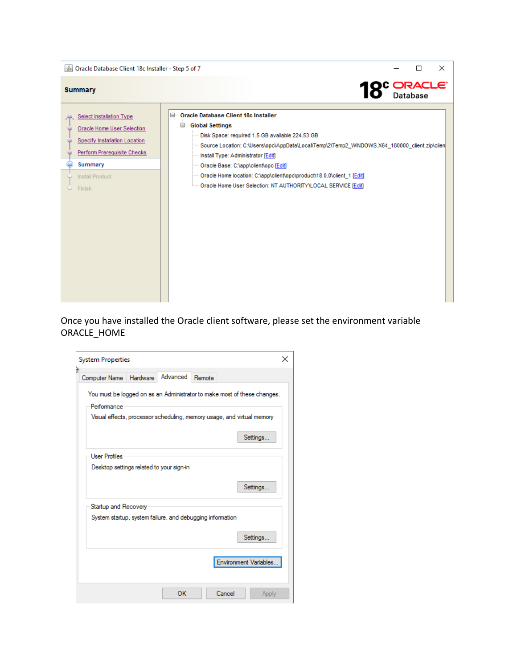

Once you have installed the Oracle client software, please set the environment variable ORACLE\_HOME

| <b>System Properties</b>                                                                                                                                                      | × |
|-------------------------------------------------------------------------------------------------------------------------------------------------------------------------------|---|
| ă<br>Advanced<br>Remote<br>Hardware<br>Computer Name                                                                                                                          |   |
| You must be logged on as an Administrator to make most of these changes.<br>Performance<br>Visual effects, processor scheduling, memory usage, and virtual memory<br>Settings |   |
| <b>User Profiles</b><br>Desktop settings related to your sign-in<br>Settings                                                                                                  |   |
| Startup and Recovery                                                                                                                                                          |   |
| System startup, system failure, and debugging information                                                                                                                     |   |
| Settings                                                                                                                                                                      |   |
| Environment Variables                                                                                                                                                         |   |
| ОΚ<br>Cancel<br>Apply                                                                                                                                                         |   |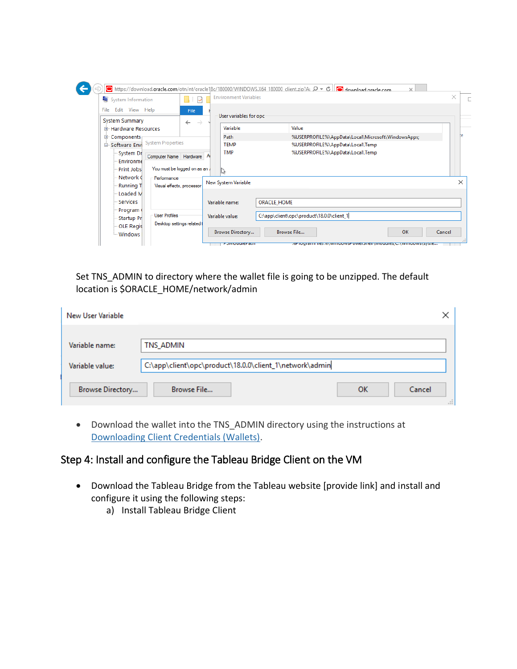| System Information                                                                   | $\sqrt{2}$                    | <b>Environment Variables</b>                   |                                                    |  |  |  |  |
|--------------------------------------------------------------------------------------|-------------------------------|------------------------------------------------|----------------------------------------------------|--|--|--|--|
| File<br>Edit View Help                                                               | File                          | User variables for opc-                        |                                                    |  |  |  |  |
| <b>System Summary</b><br>E Hardware Resources                                        | $\leftarrow$<br>$\rightarrow$ | Variable                                       | Value                                              |  |  |  |  |
| <b>E</b> Components                                                                  |                               | Path                                           | %USERPROFILE%\AppData\Local\Microsoft\WindowsApps; |  |  |  |  |
| <b>System Properties</b><br>Software Envi                                            |                               | <b>TEMP</b>                                    | %USERPROFILE%\AppData\Local\Temp                   |  |  |  |  |
| System Dr<br>Computer Name Hardware A<br>Environme<br>Print Jobs<br>Network 0        | You must be logged on as an.  | <b>TMP</b><br>%USERPROFILE%\AppData\Local\Temp |                                                    |  |  |  |  |
| Performance<br>Running T<br>Visual effects, processor                                |                               | New System Variable                            |                                                    |  |  |  |  |
| - Loaded M<br>Services<br>Program                                                    |                               | Variable name:                                 | <b>ORACLE HOME</b>                                 |  |  |  |  |
| <b>User Profiles</b><br>Startup Pr<br>Desktop settings related t<br><b>OLE Regis</b> |                               | Variable value:                                | C:\app\client\opc\product\18.0.0\client_1          |  |  |  |  |

Set TNS\_ADMIN to directory where the wallet file is going to be unzipped. The default location is \$ORACLE\_HOME/network/admin

| New User Variable |                                                         |
|-------------------|---------------------------------------------------------|
| Variable name:    | TNS_ADMIN                                               |
| Variable value:   | C:\app\client\opc\product\18.0.0\client_1\network\admin |
| Browse Directory  | Browse File<br>ОK<br>Cancel<br>m                        |

• Download the wallet into the TNS\_ADMIN directory using the instructions at [Downloading Client Credentials \(Wallets\).](https://docs.oracle.com/en/cloud/paas/autonomous-data-warehouse-cloud/user/connect-download-wallet.html#GUID-B06202D2-0597-41AA-9481-3B174F75D4B1)

# Step 4: Install and configure the Tableau Bridge Client on the VM

- Download the Tableau Bridge from the Tableau website [provide link] and install and configure it using the following steps:
	- a) Install Tableau Bridge Client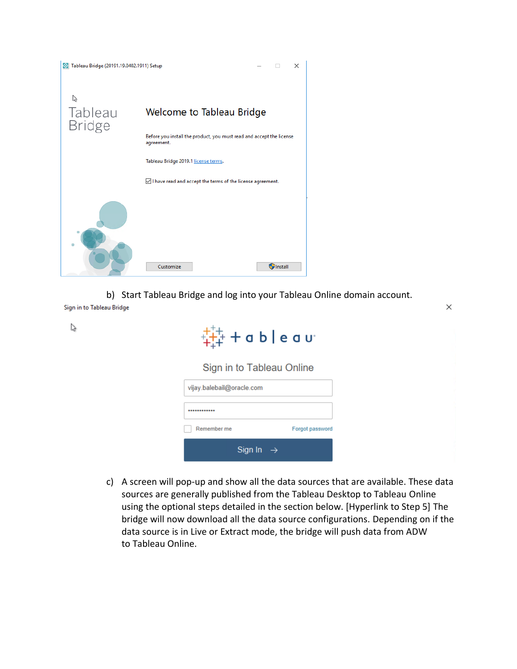

b) Start Tableau Bridge and log into your Tableau Online domain account.

Sign in to Tableau Bridge

 $\leq$ 

 $\frac{1}{4+4}$  + a b | e a v $\cdot$ 

 $\times$ 

Sign in to Tableau Online

| vijay.balebail@oracle.com |                 |
|---------------------------|-----------------|
|                           |                 |
| Remember me               | Forgot password |
| Sign In $\rightarrow$     |                 |

c) A screen will pop-up and show all the data sources that are available. These data sources are generally published from the Tableau Desktop to Tableau Online using the optional steps detailed in the section below. [Hyperlink to Step 5] The bridge will now download all the data source configurations. Depending on if the data source is in Live or Extract mode, the bridge will push data from ADW to Tableau Online.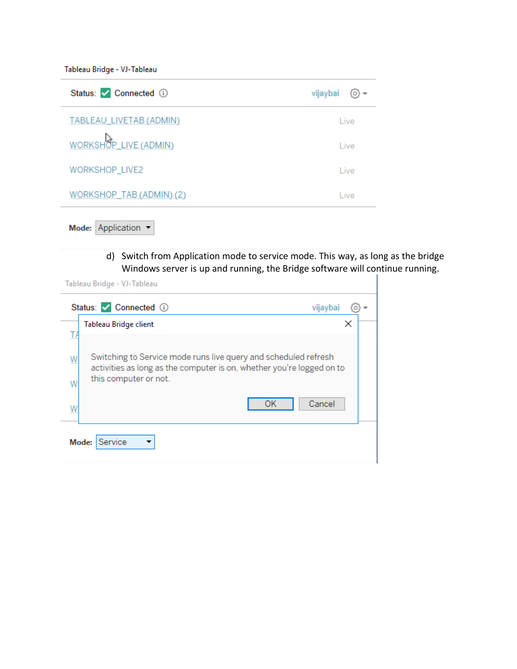Tableau Bridge - VJ-Tableau

| Status: Connected 1      | vijaybai     |
|--------------------------|--------------|
| TABLEAU_LIVETAB (ADMIN)  | Live         |
| WORKSHOP_LIVE (ADMIN)    | Live         |
| WORKSHOP_LIVE2           | Live         |
| WORKSHOP_TAB (ADMIN) (2) | <b>L</b> ive |

Mode: Application -

d) Switch from Application mode to service mode. This way, as long as the bridge Windows server is up and running, the Bridge software will continue running.

Tableau Bridge - VJ-Tableau

| Status: Connected 1                  | vijaybai                                                                                                                                                 |
|--------------------------------------|----------------------------------------------------------------------------------------------------------------------------------------------------------|
| Tableau Bridge client                | ×                                                                                                                                                        |
| W<br>this computer or not.<br>W<br>W | Switching to Service mode runs live query and scheduled refresh<br>activities as long as the computer is on, whether you're logged on to<br>Cancel<br>OK |
| Service<br>Mode:                     |                                                                                                                                                          |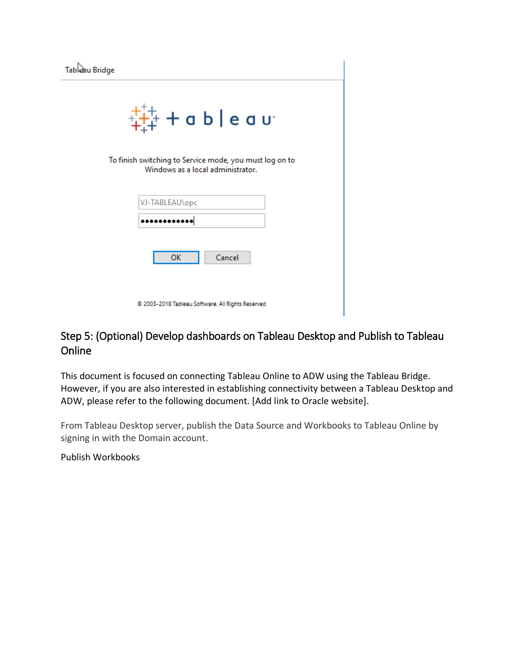| Tabluau Bridge                                                                                                                                                                                                                                                                                                                                                                                      |
|-----------------------------------------------------------------------------------------------------------------------------------------------------------------------------------------------------------------------------------------------------------------------------------------------------------------------------------------------------------------------------------------------------|
| $\frac{1}{4} + \frac{1}{4} + \frac{1}{4} + \frac{1}{4} + \frac{1}{4} + \frac{1}{4} + \frac{1}{4} + \frac{1}{4} + \frac{1}{4} + \frac{1}{4} + \frac{1}{4} + \frac{1}{4} + \frac{1}{4} + \frac{1}{4} + \frac{1}{4} + \frac{1}{4} + \frac{1}{4} + \frac{1}{4} + \frac{1}{4} + \frac{1}{4} + \frac{1}{4} + \frac{1}{4} + \frac{1}{4} + \frac{1}{4} + \frac{1}{4} + \frac{1}{4} + \frac{1}{4} + \frac{1$ |
| To finish switching to Service mode, you must log on to<br>Windows as a local administrator.                                                                                                                                                                                                                                                                                                        |
| VJ-TABLEAU\opc                                                                                                                                                                                                                                                                                                                                                                                      |
|                                                                                                                                                                                                                                                                                                                                                                                                     |
| OK<br>Cancel                                                                                                                                                                                                                                                                                                                                                                                        |

@ 2003-2018 Tableau Software. All Rights Reserved

## Step 5: (Optional) Develop dashboards on Tableau Desktop and Publish to Tableau Online

This document is focused on connecting Tableau Online to ADW using the Tableau Bridge. However, if you are also interested in establishing connectivity between a Tableau Desktop and ADW, please refer to the following document. [Add link to Oracle website].

From Tableau Desktop server, publish the Data Source and Workbooks to Tableau Online by signing in with the Domain account.

Publish Workbooks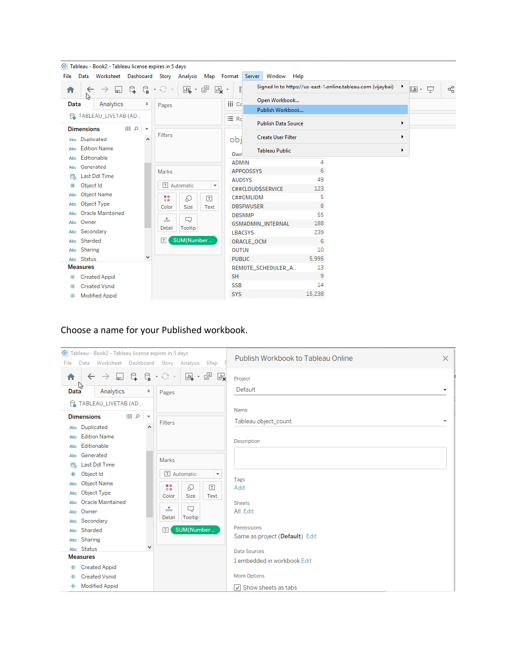|      |                   | Tableau - Book2 - Tableau license expires in 5 days |    |                         |                    |             |                      |                |                  |                                                                  |        |                                                              |   |         |    |
|------|-------------------|-----------------------------------------------------|----|-------------------------|--------------------|-------------|----------------------|----------------|------------------|------------------------------------------------------------------|--------|--------------------------------------------------------------|---|---------|----|
| File | Data              |                                                     |    |                         |                    |             |                      |                |                  | Worksheet Dashboard Story Analysis Map Format Server Window Help |        |                                                              |   |         |    |
| A    |                   | $\lfloor$                                           | G. | G                       | • ਦੇ               | ⊡ → d™      | 國,                   | a,             |                  |                                                                  |        | Signed In to https://us-east-1.online.tableau.com (vijaybai) | ٠ | 丽一<br>무 | ಹೆ |
| Data | ś.                | Analytics                                           |    | ÷                       | Pages              |             |                      | iii Cc         |                  | Open Workbook                                                    |        |                                                              |   |         |    |
|      |                   |                                                     |    |                         |                    |             |                      |                |                  | Publish Workbook                                                 |        |                                                              |   |         |    |
|      |                   | <b>P. TABLEAU_LIVETAB (AD</b>                       |    |                         |                    |             |                      | $\equiv$ Rd    |                  | <b>Publish Data Source</b>                                       |        |                                                              | ▶ |         |    |
|      | <b>Dimensions</b> |                                                     | 目の | $\overline{\mathbf{v}}$ |                    |             |                      |                |                  |                                                                  |        |                                                              |   |         |    |
|      | Abc Duplicated    |                                                     |    | ۸                       | Filters            |             |                      | obj            |                  | <b>Create User Filter</b>                                        |        |                                                              | ٠ |         |    |
| Abc  |                   | <b>Edition Name</b>                                 |    |                         |                    |             |                      | Owr            |                  | <b>Tableau Public</b>                                            |        |                                                              | ٠ |         |    |
| Abc  | Editionable       |                                                     |    |                         |                    |             |                      | <b>ADMIN</b>   |                  |                                                                  | 4      |                                                              |   |         |    |
| Abc  | Generated         |                                                     |    |                         | Marks              |             |                      |                | <b>APPOOSSYS</b> |                                                                  | 6      |                                                              |   |         |    |
| 農    |                   | Last Ddl Time                                       |    |                         |                    |             |                      | <b>AUDSYS</b>  |                  |                                                                  | 49     |                                                              |   |         |    |
| #    | Object Id         |                                                     |    |                         |                    | T Automatic | v                    |                |                  | C##CLOUD\$SERVICE                                                | 123    |                                                              |   |         |    |
| Abc  |                   | Object Name                                         |    |                         |                    | D           | $\boxed{\texttt{T}}$ |                | C##OMLIDM        |                                                                  | 5      |                                                              |   |         |    |
| Abc  |                   | Object Type                                         |    |                         | $\bullet$<br>Color | Size        | Text                 |                | <b>DBSFWUSER</b> |                                                                  | 8      |                                                              |   |         |    |
| Abc  |                   | Oracle Maintained                                   |    |                         |                    |             |                      | <b>DBSNMP</b>  |                  |                                                                  | 55     |                                                              |   |         |    |
|      | Abc Owner         |                                                     |    |                         | $\frac{8}{000}$    | Q           |                      |                |                  | GSMADMIN_INTERNAL                                                | 188    |                                                              |   |         |    |
|      | Abc Secondary     |                                                     |    |                         | Detail             | Tooltip     |                      | <b>LBACSYS</b> |                  |                                                                  | 239    |                                                              |   |         |    |
|      | Abc Sharded       |                                                     |    |                         | T                  | SUM(Number  |                      |                | ORACLE_OCM       |                                                                  | 6      |                                                              |   |         |    |
|      | Abc Sharing       |                                                     |    |                         |                    |             |                      | <b>OUTLN</b>   |                  |                                                                  | 10     |                                                              |   |         |    |
|      | Abc Status        |                                                     |    | v                       |                    |             |                      | <b>PUBLIC</b>  |                  |                                                                  | 5,995  |                                                              |   |         |    |
|      | <b>Measures</b>   |                                                     |    |                         |                    |             |                      |                |                  | REMOTE_SCHEDULER_A                                               | 13     |                                                              |   |         |    |
|      |                   | <b>Created Appid</b>                                |    |                         |                    |             |                      | <b>SH</b>      |                  |                                                                  | 9      |                                                              |   |         |    |
|      |                   | <b>Created Vsnid</b>                                |    |                         |                    |             |                      | <b>SSB</b>     |                  |                                                                  | 14     |                                                              |   |         |    |
| #    |                   | <b>Modified Appid</b>                               |    |                         |                    |             |                      | <b>SYS</b>     |                  |                                                                  | 15,238 |                                                              |   |         |    |

### Choose a name for your Published workbook.

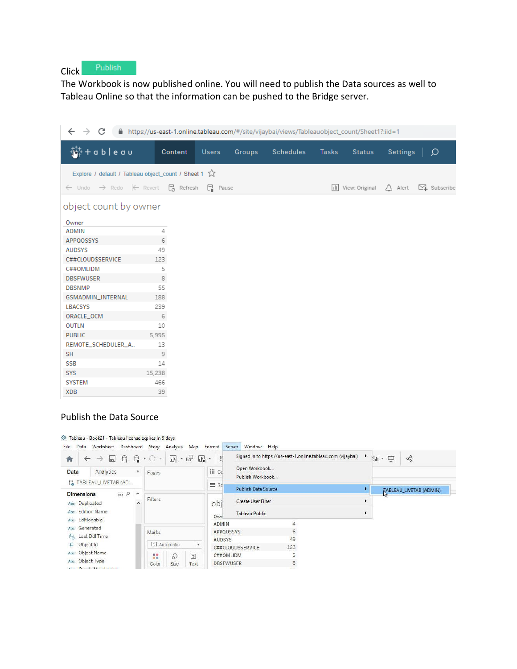Click Publish

The Workbook is now published online. You will need to publish the Data sources as well to Tableau Online so that the information can be pushed to the Bridge server.

| C<br>■ https://us-east-1.online.tableau.com/#/site/vijaybai/views/Tableauobject_count/Sheet1?:iid=1<br>$\leftarrow$<br>$\rightarrow$ |                                                           |                               |        |                  |       |                    |                   |                  |  |
|--------------------------------------------------------------------------------------------------------------------------------------|-----------------------------------------------------------|-------------------------------|--------|------------------|-------|--------------------|-------------------|------------------|--|
| $+a b   e a u$                                                                                                                       | Content                                                   | <b>Users</b>                  | Groups | <b>Schedules</b> | Tasks | <b>Status</b>      | Settings          | $\mathcal{Q}$    |  |
| Explore / default / Tableau object_count / Sheet 1 %                                                                                 |                                                           |                               |        |                  |       |                    |                   |                  |  |
| $\leftarrow$ Undo                                                                                                                    | $\rightarrow$ Redo $\leftarrow$ Revert $\bigcirc$ Refresh | $\bigcap_{\mathsf{II}}$ Pause |        |                  |       | III View: Original | $\triangle$ Alert | $\sum$ Subscribe |  |
| object count by owner<br>Owner                                                                                                       |                                                           |                               |        |                  |       |                    |                   |                  |  |
| <b>ADMIN</b>                                                                                                                         | 4                                                         |                               |        |                  |       |                    |                   |                  |  |
| APPQOSSYS                                                                                                                            | 6                                                         |                               |        |                  |       |                    |                   |                  |  |
| <b>AUDSYS</b>                                                                                                                        | 49                                                        |                               |        |                  |       |                    |                   |                  |  |
| C##CLOUD\$SERVICE                                                                                                                    | 123                                                       |                               |        |                  |       |                    |                   |                  |  |
| C##OMLIDM                                                                                                                            | 5                                                         |                               |        |                  |       |                    |                   |                  |  |
| <b>DBSFWUSER</b>                                                                                                                     | 8                                                         |                               |        |                  |       |                    |                   |                  |  |
| <b>DBSNMP</b>                                                                                                                        | 55                                                        |                               |        |                  |       |                    |                   |                  |  |
| GSMADMIN_INTERNAL                                                                                                                    | 188                                                       |                               |        |                  |       |                    |                   |                  |  |
| <b>LBACSYS</b>                                                                                                                       | 239                                                       |                               |        |                  |       |                    |                   |                  |  |
| ORACLE_OCM                                                                                                                           | 6                                                         |                               |        |                  |       |                    |                   |                  |  |
| <b>OUTLN</b>                                                                                                                         | 10                                                        |                               |        |                  |       |                    |                   |                  |  |
| <b>PUBLIC</b>                                                                                                                        | 5,995                                                     |                               |        |                  |       |                    |                   |                  |  |
| REMOTE_SCHEDULER_A                                                                                                                   | 13                                                        |                               |        |                  |       |                    |                   |                  |  |
| <b>SH</b>                                                                                                                            | Э                                                         |                               |        |                  |       |                    |                   |                  |  |
| <b>SSB</b>                                                                                                                           | 14                                                        |                               |        |                  |       |                    |                   |                  |  |
| <b>SYS</b>                                                                                                                           | 15,238                                                    |                               |        |                  |       |                    |                   |                  |  |
| <b>SYSTEM</b>                                                                                                                        | 466                                                       |                               |        |                  |       |                    |                   |                  |  |
| <b>XDB</b>                                                                                                                           | 39                                                        |                               |        |                  |       |                    |                   |                  |  |

#### Publish the Data Source

#### <sup>33</sup> Tableau - Book21 - Tableau license expires in 5 days

| ς.<br>$\vert$ m<br>青<br>$\rightarrow$                                  | $G_{\rm H}$   | $\cdot$ $\odot$ $\cdot$ | 叫车          | $ \frac{m}{m}$<br>$\mathbf{d}_{\mathbf{x}}$ . | 8                     |                                   | Signed In to https://us-east-1.online.tableau.com (vijaybai) |                                | ₽<br>証。 | $\alpha_0^{\circ}$ |
|------------------------------------------------------------------------|---------------|-------------------------|-------------|-----------------------------------------------|-----------------------|-----------------------------------|--------------------------------------------------------------|--------------------------------|---------|--------------------|
| Analytics<br>Data                                                      | $\Rightarrow$ | Pages                   |             |                                               | iii Cc                | Open Workbook<br>Publish Workbook |                                                              |                                |         |                    |
| <b>P. TABLEAU_LIVETAB (AD</b>                                          |               |                         | 三 Rd        | <b>Publish Data Source</b>                    |                       |                                   |                                                              | <b>TABLEAU LIVETAB (ADMIN)</b> |         |                    |
| $\mathbb{R}$ of $\mathbb{R}$<br><b>Dimensions</b><br>Duplicated<br>Abc | $\wedge$      | Filters                 |             |                                               | obj                   | <b>Create User Filter</b>         |                                                              |                                |         |                    |
| <b>Edition Name</b><br>Abc                                             |               |                         |             | Owr                                           | <b>Tableau Public</b> |                                   |                                                              |                                |         |                    |
| Editionable<br>Abc                                                     |               |                         |             |                                               | <b>ADMIN</b>          | 4                                 |                                                              |                                |         |                    |
| Generated<br>Abc                                                       |               | Marks                   |             |                                               | APPQOSSYS             | 6                                 |                                                              |                                |         |                    |
| Last Ddl Time<br>農                                                     |               |                         |             |                                               | <b>AUDSYS</b>         |                                   | 49                                                           |                                |         |                    |
| Object Id<br>#                                                         |               |                         | T Automatic | $\overline{\phantom{a}}$                      |                       | C##CLOUD\$SERVICE                 | 123                                                          |                                |         |                    |
| Abc Object Name                                                        |               | $\frac{88}{10}$         | D           | T                                             | C##OMLIDM             |                                   | 5                                                            |                                |         |                    |
| Abc Object Type                                                        |               | Color                   | Size        | Text                                          | <b>DBSFWUSER</b>      |                                   | 8                                                            |                                |         |                    |
| Abe Orgola Maintainad                                                  |               |                         |             |                                               |                       |                                   | --                                                           |                                |         |                    |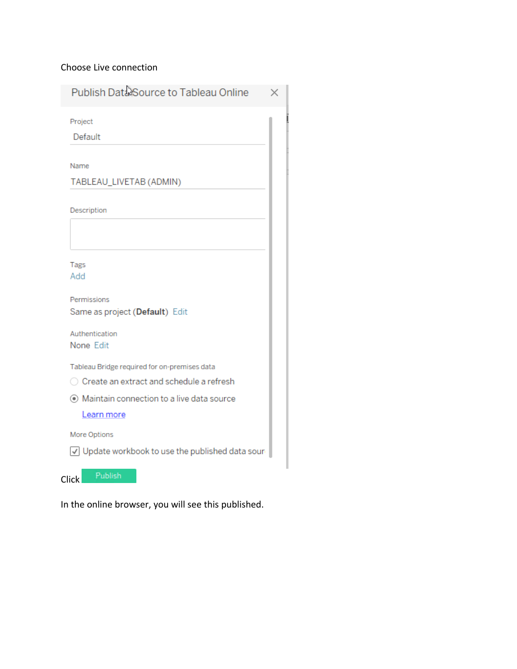#### Choose Live connection

Publish Data Source to Tableau Online  $\times$ Project Default Name TABLEAU\_LIVETAB (ADMIN) Description Tags Add Permissions Same as project (Default) Edit Authentication None Edit Tableau Bridge required for on-premises data ◯ Create an extract and schedule a refresh ⊙ Maintain connection to a live data source Learn more More Options Update workbook to use the published data sour

In the online browser, you will see this published.

Click

Publish